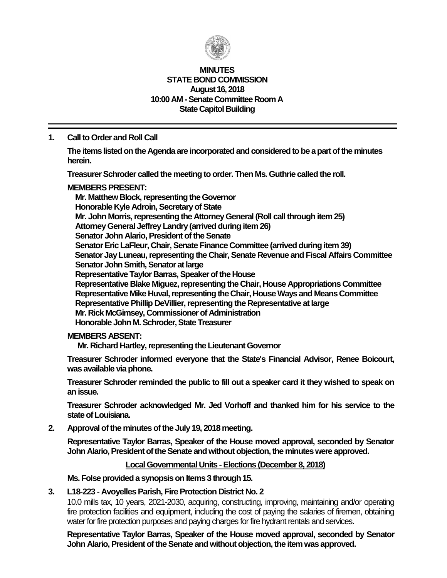

#### **MINUTES STATE BOND COMMISSION August 16, 2018 10:00 AM - Senate Committee Room A State Capitol Building**

## **1. Call to Order and Roll Call**

**The items listed on the Agenda are incorporated and considered to be a part of the minutes herein.**

**Treasurer Schroder called the meeting to order. Then Ms. Guthrie called the roll.**

## **MEMBERS PRESENT:**

**Mr. Matthew Block, representing the Governor Honorable Kyle Adroin, Secretary of State Mr. John Morris, representing the Attorney General (Roll call through item 25) Attorney General Jeffrey Landry (arrived during item 26) Senator John Alario, President of the Senate Senator Eric LaFleur, Chair, Senate Finance Committee (arrived during item 39) Senator Jay Luneau, representing the Chair, Senate Revenue and Fiscal Affairs Committee Senator John Smith, Senator at large Representative Taylor Barras, Speaker of the House Representative Blake Miguez, representing the Chair, House Appropriations Committee Representative Mike Huval, representing the Chair, House Ways and Means Committee Representative Phillip DeVillier, representing the Representative at large Mr. Rick McGimsey, Commissioner of Administration Honorable John M. Schroder, State Treasurer**

### **MEMBERS ABSENT:**

**Mr. Richard Hartley, representing the Lieutenant Governor**

**Treasurer Schroder informed everyone that the State's Financial Advisor, Renee Boicourt, was available via phone.**

**Treasurer Schroder reminded the public to fill out a speaker card it they wished to speak on an issue.**

**Treasurer Schroder acknowledged Mr. Jed Vorhoff and thanked him for his service to the**  state of Louisiana.

**2. Approval of the minutes of the July 19, 2018 meeting.**

**Representative Taylor Barras, Speaker of the House moved approval, seconded by Senator John Alario, President of the Senate and without objection, the minutes were approved.**

### **Local Governmental Units - Elections (December 8, 2018)**

**Ms. Folse provided a synopsis on Items 3 through 15.**

### **3. L18-223 - Avoyelles Parish, Fire Protection District No. 2**

10.0 mills tax, 10 years, 2021-2030, acquiring, constructing, improving, maintaining and/or operating fire protection facilities and equipment, including the cost of paying the salaries of firemen, obtaining water for fire protection purposes and paying charges for fire hydrant rentals and services.

**Representative Taylor Barras, Speaker of the House moved approval, seconded by Senator John Alario, President of the Senate and without objection, the item was approved.**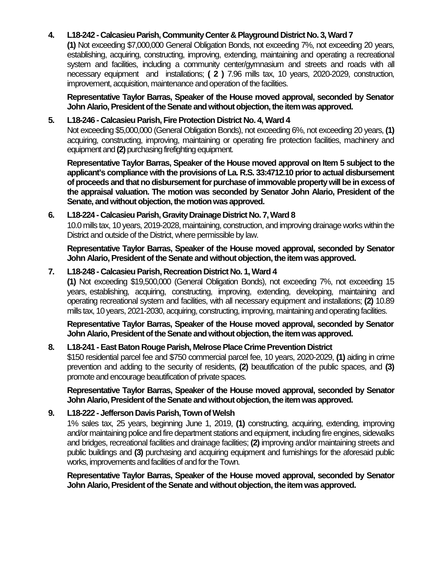## **4. L18-242 - Calcasieu Parish, Community Center & Playground District No. 3, Ward 7**

**(1)** Not exceeding \$7,000,000 General Obligation Bonds, not exceeding 7%, not exceeding 20 years, establishing, acquiring, constructing, improving, extending, maintaining and operating a recreational system and facilities, including a community center/gymnasium and streets and roads with all necessary equipment and installations; **( 2 )** 7.96 mills tax, 10 years, 2020-2029, construction, improvement, acquisition, maintenance and operation of the facilities.

**Representative Taylor Barras, Speaker of the House moved approval, seconded by Senator John Alario, President of the Senate and without objection, the item was approved.**

#### **5. L18-246 - Calcasieu Parish, Fire Protection District No. 4, Ward 4**

Not exceeding \$5,000,000 (General Obligation Bonds), not exceeding 6%, not exceeding 20 years, **(1)** acquiring, constructing, improving, maintaining or operating fire protection facilities, machinery and equipment and **(2)** purchasing firefighting equipment.

**Representative Taylor Barras, Speaker of the House moved approval on Item 5 subject to the applicant's compliance with the provisions of La. R.S. 33:4712.10 prior to actual disbursement**  of proceeds and that no disbursement for purchase of immovable property will be in excess of **the appraisal valuation. The motion was seconded by Senator John Alario, President of the Senate, and without objection, the motion was approved.**

### **6. L18-224 - Calcasieu Parish, Gravity Drainage District No. 7, Ward 8**

10.0 mills tax, 10 years, 2019-2028, maintaining, construction, and improving drainage works within the District and outside of the District, where permissible by law.

**Representative Taylor Barras, Speaker of the House moved approval, seconded by Senator John Alario, President of the Senate and without objection, the item was approved.**

### **7. L18-248 - Calcasieu Parish, Recreation District No. 1, Ward 4**

**(1)** Not exceeding \$19,500,000 (General Obligation Bonds), not exceeding 7%, not exceeding 15 years, establishing, acquiring, constructing, improving, extending, developing, maintaining and operating recreational system and facilities, with all necessary equipment and installations; **(2)** 10.89 mills tax, 10 years, 2021-2030, acquiring, constructing, improving, maintaining and operating facilities.

**Representative Taylor Barras, Speaker of the House moved approval, seconded by Senator John Alario, President of the Senate and without objection, the item was approved.**

### **8. L18-241 -East Baton Rouge Parish, Melrose Place Crime Prevention District**

\$150 residential parcel fee and \$750 commercial parcel fee, 10 years, 2020-2029, **(1)** aiding in crime prevention and adding to the security of residents, **(2)** beautification of the public spaces, and **(3)** promote and encourage beautification of private spaces.

**Representative Taylor Barras, Speaker of the House moved approval, seconded by Senator John Alario, President of the Senate and without objection, the item was approved.**

## **9. L18-222 - Jefferson Davis Parish, Town of Welsh**

1% sales tax, 25 years, beginning June 1, 2019, **(1)** constructing, acquiring, extending, improving and/or maintaining police and fire department stations and equipment, including fire engines, sidewalks and bridges, recreational facilities and drainage facilities; **(2)** improving and/or maintaining streets and public buildings and **(3)** purchasing and acquiring equipment and furnishings for the aforesaid public works, improvements and facilities of and for the Town.

**Representative Taylor Barras, Speaker of the House moved approval, seconded by Senator John Alario, President of the Senate and without objection, the item was approved.**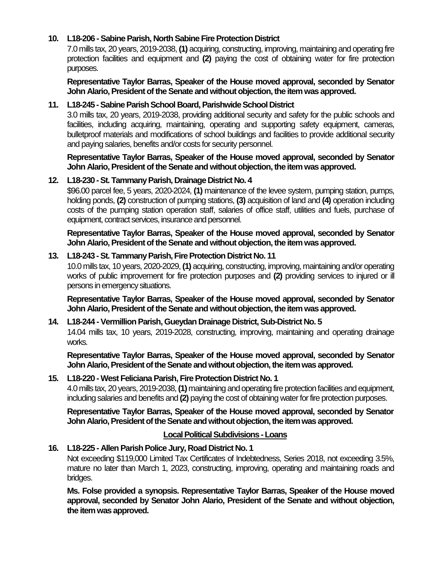## **10. L18-206 -Sabine Parish, North Sabine Fire Protection District**

7.0 mills tax, 20 years, 2019-2038, **(1)** acquiring, constructing, improving, maintaining and operating fire protection facilities and equipment and **(2)** paying the cost of obtaining water for fire protection purposes.

**Representative Taylor Barras, Speaker of the House moved approval, seconded by Senator John Alario, President of the Senate and without objection, the item was approved.**

## **11. L18-245 -Sabine Parish School Board, Parishwide School District**

3.0 mills tax, 20 years, 2019-2038, providing additional security and safety for the public schools and facilities, including acquiring, maintaining, operating and supporting safety equipment, cameras, bulletproof materials and modifications of school buildings and facilities to provide additional security and paying salaries, benefits and/or costs for security personnel.

**Representative Taylor Barras, Speaker of the House moved approval, seconded by Senator John Alario, President of the Senate and without objection, the item was approved.**

### **12. L18-230 -St. Tammany Parish, Drainage District No. 4**

\$96.00 parcel fee, 5 years, 2020-2024, **(1)** maintenance of the levee system, pumping station, pumps, holding ponds, **(2)** construction of pumping stations, **(3)** acquisition of land and **(4)** operation including costs of the pumping station operation staff, salaries of office staff, utilities and fuels, purchase of equipment, contract services, insurance and personnel.

**Representative Taylor Barras, Speaker of the House moved approval, seconded by Senator John Alario, President of the Senate and without objection, the item was approved.**

## **13. L18-243 -St. Tammany Parish, Fire Protection District No. 11**

10.0 mills tax, 10 years, 2020-2029, **(1)** acquiring, constructing, improving, maintaining and/or operating works of public improvement for fire protection purposes and **(2)** providing services to injured or ill persons in emergency situations.

**Representative Taylor Barras, Speaker of the House moved approval, seconded by Senator John Alario, President of the Senate and without objection, the item was approved.**

# **14. L18-244 -Vermillion Parish, Gueydan Drainage District, Sub-District No. 5**

14.04 mills tax, 10 years, 2019-2028, constructing, improving, maintaining and operating drainage works.

**Representative Taylor Barras, Speaker of the House moved approval, seconded by Senator John Alario, President of the Senate and without objection, the item was approved.**

### **15. L18-220 -West Feliciana Parish, Fire Protection District No. 1**

4.0 mills tax, 20 years, 2019-2038, **(1)**maintaining and operating fire protection facilities and equipment, including salaries and benefits and **(2)** paying the cost of obtaining water for fire protection purposes.

**Representative Taylor Barras, Speaker of the House moved approval, seconded by Senator John Alario, President of the Senate and without objection, the item was approved.**

### **Local Political Subdivisions -Loans**

### **16. L18-225 - Allen Parish Police Jury, Road District No. 1**

Not exceeding \$119,000 Limited Tax Certificates of Indebtedness, Series 2018, not exceeding 3.5%, mature no later than March 1, 2023, constructing, improving, operating and maintaining roads and bridges.

**Ms. Folse provided a synopsis. Representative Taylor Barras, Speaker of the House moved approval, seconded by Senator John Alario, President of the Senate and without objection, the item was approved.**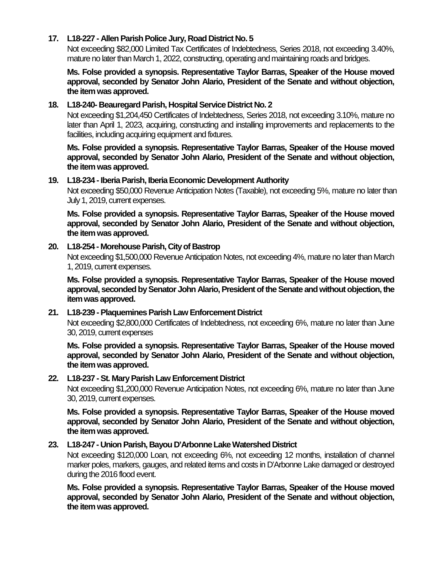#### **17. L18-227 - Allen Parish Police Jury, Road District No. 5**

Not exceeding \$82,000 Limited Tax Certificates of Indebtedness, Series 2018, not exceeding 3.40%, mature no later than March 1, 2022, constructing, operating and maintaining roads and bridges.

**Ms. Folse provided a synopsis. Representative Taylor Barras, Speaker of the House moved approval, seconded by Senator John Alario, President of the Senate and without objection, the item was approved.**

#### **18. L18-240- Beauregard Parish, Hospital Service District No. 2**

Not exceeding \$1,204,450 Certificates of Indebtedness, Series 2018, not exceeding 3.10%, mature no later than April 1, 2023, acquiring, constructing and installing improvements and replacements to the facilities, including acquiring equipment and fixtures.

**Ms. Folse provided a synopsis. Representative Taylor Barras, Speaker of the House moved approval, seconded by Senator John Alario, President of the Senate and without objection, the item was approved.**

#### **19. L18-234 -Iberia Parish, Iberia Economic Development Authority**

Not exceeding \$50,000 Revenue Anticipation Notes (Taxable), not exceeding 5%, mature no later than July 1, 2019, current expenses.

**Ms. Folse provided a synopsis. Representative Taylor Barras, Speaker of the House moved approval, seconded by Senator John Alario, President of the Senate and without objection, the item was approved.**

#### **20. L18-254 - Morehouse Parish, City of Bastrop**

Not exceeding \$1,500,000 Revenue Anticipation Notes, not exceeding 4%, mature no later than March 1, 2019, current expenses.

**Ms. Folse provided a synopsis. Representative Taylor Barras, Speaker of the House moved approval, seconded by Senator John Alario, President of the Senate and without objection, the item was approved.**

### **21. L18-239 -Plaquemines Parish Law Enforcement District**

Not exceeding \$2,800,000 Certificates of Indebtedness, not exceeding 6%, mature no later than June 30, 2019, current expenses

**Ms. Folse provided a synopsis. Representative Taylor Barras, Speaker of the House moved approval, seconded by Senator John Alario, President of the Senate and without objection, the item was approved.**

#### **22. L18-237 -St. Mary Parish Law Enforcement District**

Not exceeding \$1,200,000 Revenue Anticipation Notes, not exceeding 6%, mature no later than June 30, 2019, current expenses.

**Ms. Folse provided a synopsis. Representative Taylor Barras, Speaker of the House moved approval, seconded by Senator John Alario, President of the Senate and without objection, the item was approved.**

#### **23. L18-247 - Union Parish, Bayou D'Arbonne Lake Watershed District**

Not exceeding \$120,000 Loan, not exceeding 6%, not exceeding 12 months, installation of channel marker poles, markers, gauges, and related items and costs in D'Arbonne Lake damaged or destroyed during the 2016 flood event.

**Ms. Folse provided a synopsis. Representative Taylor Barras, Speaker of the House moved approval, seconded by Senator John Alario, President of the Senate and without objection, the item was approved.**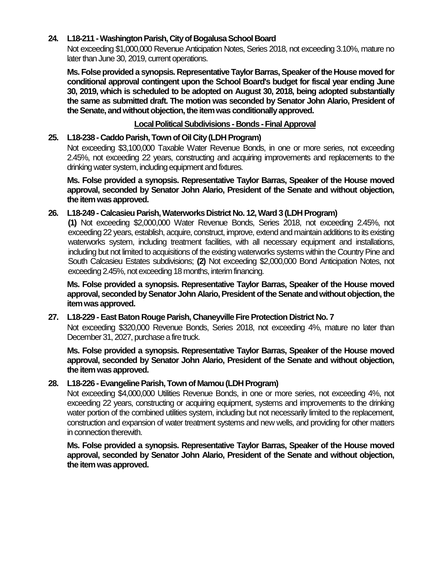## **24. L18-211 -Washington Parish, City of Bogalusa School Board**

Not exceeding \$1,000,000 Revenue Anticipation Notes, Series 2018, not exceeding 3.10%, mature no later than June 30, 2019, current operations.

**Ms. Folse provided a synopsis. Representative Taylor Barras, Speaker of the House moved for conditional approval contingent upon the School Board's budget for fiscal year ending June 30, 2019, which is scheduled to be adopted on August 30, 2018, being adopted substantially the same as submitted draft. The motion was seconded by Senator John Alario, President of the Senate, and without objection, the item was conditionally approved.**

## **Local Political Subdivisions - Bonds -Final Approval**

## **25. L18-238 - Caddo Parish, Town of Oil City (LDH Program)**

Not exceeding \$3,100,000 Taxable Water Revenue Bonds, in one or more series, not exceeding 2.45%, not exceeding 22 years, constructing and acquiring improvements and replacements to the drinking water system, including equipment and fixtures.

**Ms. Folse provided a synopsis. Representative Taylor Barras, Speaker of the House moved approval, seconded by Senator John Alario, President of the Senate and without objection, the item was approved.**

## **26. L18-249 - Calcasieu Parish, Waterworks District No. 12, Ward 3 (LDH Program)**

**(1)** Not exceeding \$2,000,000 Water Revenue Bonds, Series 2018, not exceeding 2.45%, not exceeding 22 years, establish, acquire, construct, improve, extend and maintain additions to its existing waterworks system, including treatment facilities, with all necessary equipment and installations, including but not limited to acquisitions of the existing waterworks systems within the Country Pine and South Calcasieu Estates subdivisions; **(2)** Not exceeding \$2,000,000 Bond Anticipation Notes, not exceeding 2.45%, not exceeding 18 months, interim financing.

**Ms. Folse provided a synopsis. Representative Taylor Barras, Speaker of the House moved approval, seconded by Senator John Alario, President of the Senate and without objection, the item was approved.**

### **27. L18-229 -East Baton Rouge Parish, Chaneyville Fire Protection District No. 7**

Not exceeding \$320,000 Revenue Bonds, Series 2018, not exceeding 4%, mature no later than December 31, 2027, purchase a fire truck.

**Ms. Folse provided a synopsis. Representative Taylor Barras, Speaker of the House moved approval, seconded by Senator John Alario, President of the Senate and without objection, the item was approved.**

### **28. L18-226 -Evangeline Parish,Town of Mamou (LDH Program)**

Not exceeding \$4,000,000 Utilities Revenue Bonds, in one or more series, not exceeding 4%, not exceeding 22 years, constructing or acquiring equipment, systems and improvements to the drinking water portion of the combined utilities system, including but not necessarily limited to the replacement, construction and expansion of water treatment systems and new wells, and providing for other matters in connection therewith.

**Ms. Folse provided a synopsis. Representative Taylor Barras, Speaker of the House moved approval, seconded by Senator John Alario, President of the Senate and without objection, the item was approved.**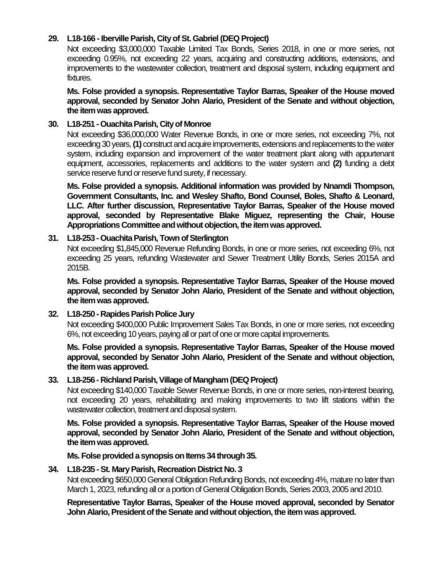# **29. L18-166 -Iberville Parish, City of St. Gabriel (DEQ Project)**

Not exceeding \$3,000,000 Taxable Limited Tax Bonds, Series 2018, in one or more series, not exceeding 0.95%, not exceeding 22 years, acquiring and constructing additions, extensions, and improvements to the wastewater collection, treatment and disposal system, including equipment and fixtures.

**Ms. Folse provided a synopsis. Representative Taylor Barras, Speaker of the House moved approval, seconded by Senator John Alario, President of the Senate and without objection, the item was approved.**

### **30. L18-251 -Ouachita Parish, City of Monroe**

Not exceeding \$36,000,000 Water Revenue Bonds, in one or more series, not exceeding 7%, not exceeding 30 years, **(1)** construct and acquire improvements, extensions and replacements to the water system, including expansion and improvement of the water treatment plant along with appurtenant equipment, accessories, replacements and additions to the water system and **(2)** funding a debt service reserve fund or reserve fund surety, if necessary.

**Ms. Folse provided a synopsis. Additional information was provided by Nnamdi Thompson, Government Consultants, Inc. and Wesley Shafto, Bond Counsel, Boles, Shafto & Leonard, LLC. After further discussion, Representative Taylor Barras, Speaker of the House moved approval, seconded by Representative Blake Miguez, representing the Chair, House Appropriations Committee and without objection, the item was approved.**

### **31. L18-253 -Ouachita Parish, Town of Sterlington**

Not exceeding \$1,845,000 Revenue Refunding Bonds, in one or more series, not exceeding 6%, not exceeding 25 years, refunding Wastewater and Sewer Treatment Utility Bonds, Series 2015A and 2015B.

**Ms. Folse provided a synopsis. Representative Taylor Barras, Speaker of the House moved approval, seconded by Senator John Alario, President of the Senate and without objection, the item was approved.**

## **32. L18-250 - Rapides Parish Police Jury**

Not exceeding \$400,000 Public Improvement Sales Tax Bonds, in one or more series, not exceeding 6%, not exceeding 10 years, paying all or part of one or more capital improvements.

**Ms. Folse provided a synopsis. Representative Taylor Barras, Speaker of the House moved approval, seconded by Senator John Alario, President of the Senate and without objection, the item was approved.**

### **33. L18-256 - Richland Parish, Village of Mangham (DEQ Project)**

Not exceeding \$140,000 Taxable Sewer Revenue Bonds, in one or more series, non-interest bearing, not exceeding 20 years, rehabilitating and making improvements to two lift stations within the wastewater collection, treatment and disposal system.

**Ms. Folse provided a synopsis. Representative Taylor Barras, Speaker of the House moved approval, seconded by Senator John Alario, President of the Senate and without objection, the item was approved.**

**Ms. Folse provided a synopsis on Items 34 through 35.**

### **34. L18-235 -St. Mary Parish, Recreation District No. 3**

Not exceeding \$650,000 General Obligation Refunding Bonds, not exceeding 4%, mature no later than March 1, 2023, refunding all or a portion of General Obligation Bonds, Series 2003, 2005 and 2010.

**Representative Taylor Barras, Speaker of the House moved approval, seconded by Senator John Alario, President of the Senate and without objection, the item was approved.**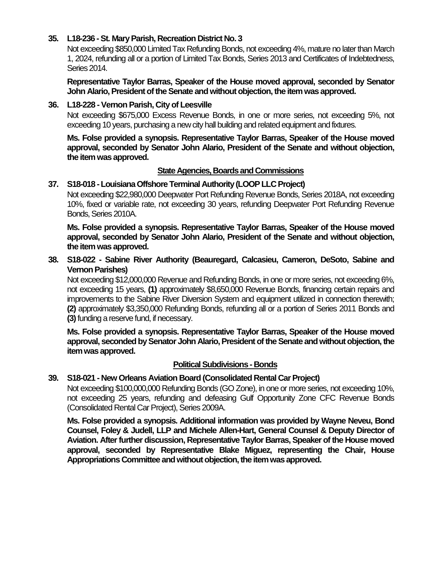## **35. L18-236 -St. Mary Parish, Recreation District No. 3**

Not exceeding \$850,000 Limited Tax Refunding Bonds, not exceeding 4%, mature no later than March 1, 2024, refunding all or a portion of Limited Tax Bonds, Series 2013 and Certificates of Indebtedness, Series 2014.

**Representative Taylor Barras, Speaker of the House moved approval, seconded by Senator John Alario, President of the Senate and without objection, the item was approved.**

## **36. L18-228 -Vernon Parish, City of Leesville**

Not exceeding \$675,000 Excess Revenue Bonds, in one or more series, not exceeding 5%, not exceeding 10 years, purchasing a new city hall building and related equipment and fixtures.

**Ms. Folse provided a synopsis. Representative Taylor Barras, Speaker of the House moved approval, seconded by Senator John Alario, President of the Senate and without objection, the item was approved.**

## **State Agencies, Boards and Commissions**

### **37. S18-018 -Louisiana Offshore Terminal Authority (LOOP LLC Project)**

Not exceeding \$22,980,000 Deepwater Port Refunding Revenue Bonds, Series 2018A, not exceeding 10%, fixed or variable rate, not exceeding 30 years, refunding Deepwater Port Refunding Revenue Bonds, Series 2010A.

**Ms. Folse provided a synopsis. Representative Taylor Barras, Speaker of the House moved approval, seconded by Senator John Alario, President of the Senate and without objection, the item was approved.**

## **38. S18-022 - Sabine River Authority (Beauregard, Calcasieu, Cameron, DeSoto, Sabine and Vernon Parishes)**

Not exceeding \$12,000,000 Revenue and Refunding Bonds, in one or more series, not exceeding 6%, not exceeding 15 years, **(1)** approximately \$8,650,000 Revenue Bonds, financing certain repairs and improvements to the Sabine River Diversion System and equipment utilized in connection therewith; **(2)** approximately \$3,350,000 Refunding Bonds, refunding all or a portion of Series 2011 Bonds and **(3)**funding a reserve fund, if necessary.

**Ms. Folse provided a synopsis. Representative Taylor Barras, Speaker of the House moved approval, seconded by Senator John Alario, President of the Senate and without objection, the item was approved.**

### **Political Subdivisions - Bonds**

# **39. S18-021 - New Orleans Aviation Board (Consolidated Rental Car Project)**

Not exceeding \$100,000,000 Refunding Bonds (GO Zone), in one or more series, not exceeding 10%, not exceeding 25 years, refunding and defeasing Gulf Opportunity Zone CFC Revenue Bonds (Consolidated Rental Car Project), Series 2009A.

**Ms. Folse provided a synopsis. Additional information was provided by Wayne Neveu, Bond Counsel, Foley & Judell, LLP and Michele Allen-Hart, General Counsel & Deputy Director of Aviation. After further discussion, Representative Taylor Barras, Speaker of the House moved approval, seconded by Representative Blake Miguez, representing the Chair, House Appropriations Committee andwithout objection, the item was approved.**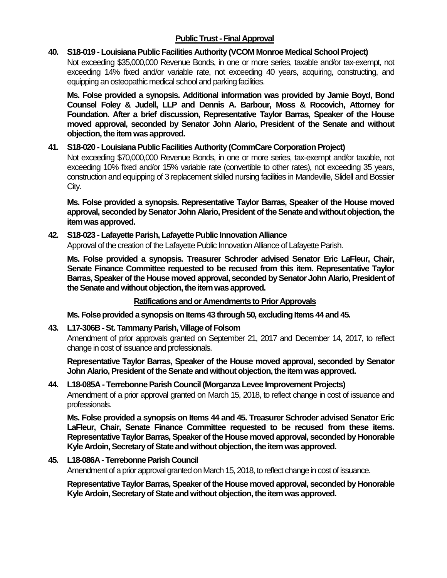# **Public Trust - Final Approval**

## **40. S18-019 - Louisiana Public Facilities Authority (VCOM Monroe Medical School Project)**

Not exceeding \$35,000,000 Revenue Bonds, in one or more series, taxable and/or tax-exempt, not exceeding 14% fixed and/or variable rate, not exceeding 40 years, acquiring, constructing, and equipping an osteopathic medical school and parking facilities.

**Ms. Folse provided a synopsis. Additional information was provided by Jamie Boyd, Bond Counsel Foley & Judell, LLP and Dennis A. Barbour, Moss & Rocovich, Attorney for Foundation. After a brief discussion, Representative Taylor Barras, Speaker of the House moved approval, seconded by Senator John Alario, President of the Senate and without objection, the item was approved.**

## **41. S18-020 - Louisiana Public Facilities Authority (CommCare Corporation Project)**

Not exceeding \$70,000,000 Revenue Bonds, in one or more series, tax-exempt and/or taxable, not exceeding 10% fixed and/or 15% variable rate (convertible to other rates), not exceeding 35 years, construction and equipping of 3 replacement skilled nursing facilities in Mandeville, Slidell and Bossier City.

**Ms. Folse provided a synopsis. Representative Taylor Barras, Speaker of the House moved approval, seconded by Senator John Alario, President of the Senate and without objection, the item was approved.**

## **42. S18-023 - Lafayette Parish, Lafayette Public Innovation Alliance**

Approval of the creation of the Lafayette Public Innovation Alliance of Lafayette Parish.

**Ms. Folse provided a synopsis. Treasurer Schroder advised Senator Eric LaFleur, Chair, Senate Finance Committee requested to be recused from this item. Representative Taylor Barras, Speaker of the House moved approval, seconded by Senator John Alario, President of the Senate and without objection, the item was approved.**

### **Ratifications and or Amendments to Prior Approvals**

**Ms. Folse provided a synopsis on Items 43 through 50, excluding Items 44 and 45.**

### **43. L17-306B -St. Tammany Parish, Village of Folsom**

Amendment of prior approvals granted on September 21, 2017 and December 14, 2017, to reflect change in cost of issuance and professionals.

**Representative Taylor Barras, Speaker of the House moved approval, seconded by Senator John Alario, President of the Senate and without objection, the item was approved.**

### **44. L18-085A - Terrebonne Parish Council (Morganza Levee Improvement Projects)**

Amendment of a prior approval granted on March 15, 2018, to reflect change in cost of issuance and professionals.

**Ms. Folse provided a synopsis on Items 44 and 45. Treasurer Schroder advised Senator Eric LaFleur, Chair, Senate Finance Committee requested to be recused from these items. Representative Taylor Barras, Speaker of the House moved approval, seconded by Honorable Kyle Ardoin, Secretary of State and without objection, the item was approved.**

### **45. L18-086A -Terrebonne Parish Council**

Amendment of a prior approval granted on March 15, 2018, to reflect change in cost of issuance.

**Representative Taylor Barras, Speaker of the House moved approval, seconded by Honorable Kyle Ardoin, Secretary of State and without objection, the item was approved.**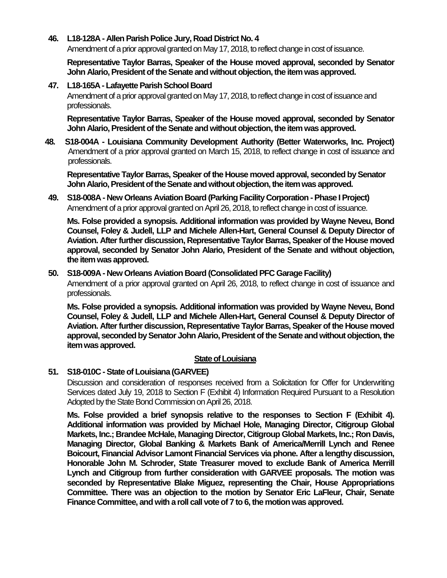## **46. L18-128A - Allen Parish Police Jury, Road District No. 4**

Amendment of a prior approval granted on May 17, 2018, to reflect change in cost of issuance.

**Representative Taylor Barras, Speaker of the House moved approval, seconded by Senator John Alario, President of the Senate and without objection, the item was approved.**

## **47. L18-165A - Lafayette Parish School Board**

Amendment of a prior approval granted on May 17, 2018, to reflect change in cost of issuance and professionals.

**Representative Taylor Barras, Speaker of the House moved approval, seconded by Senator John Alario, President of the Senate and without objection, the item was approved.** 

**48. S18-004A - Louisiana Community Development Authority (Better Waterworks, Inc. Project)** Amendment of a prior approval granted on March 15, 2018, to reflect change in cost of issuance and professionals.

**Representative Taylor Barras, Speaker of the House moved approval, seconded by Senator John Alario, President of the Senate and without objection, the item was approved.**

## **49. S18-008A - New Orleans Aviation Board (Parking Facility Corporation -Phase I Project)** Amendment of a prior approval granted on April 26, 2018, to reflect change in cost of issuance.

**Ms. Folse provided a synopsis. Additional information was provided by Wayne Neveu, Bond Counsel, Foley & Judell, LLP and Michele Allen-Hart, General Counsel & Deputy Director of Aviation. After further discussion, Representative Taylor Barras, Speaker of the House moved approval, seconded by Senator John Alario, President of the Senate and without objection, the item was approved.**

### **50. S18-009A - New Orleans Aviation Board (Consolidated PFC Garage Facility)**

Amendment of a prior approval granted on April 26, 2018, to reflect change in cost of issuance and professionals.

**Ms. Folse provided a synopsis. Additional information was provided by Wayne Neveu, Bond Counsel, Foley & Judell, LLP and Michele Allen-Hart, General Counsel & Deputy Director of Aviation. After further discussion, Representative Taylor Barras, Speaker of the House moved approval, seconded by Senator John Alario, President of the Senate and without objection, the item was approved.**

### **State of Louisiana**

# **51. S18-010C -State of Louisiana (GARVEE)**

Discussion and consideration of responses received from a Solicitation for Offer for Underwriting Services dated July 19, 2018 to Section F (Exhibit 4) Information Required Pursuant to a Resolution Adopted by the State Bond Commission on April 26, 2018.

**Ms. Folse provided a brief synopsis relative to the responses to Section F (Exhibit 4). Additional information was provided by Michael Hole, Managing Director, Citigroup Global Markets, Inc.; Brandee McHale, Managing Director, Citigroup Global Markets, Inc.; Ron Davis, Managing Director, Global Banking & Markets Bank of America/Merrill Lynch and Renee Boicourt, Financial Advisor Lamont Financial Services via phone. After a lengthy discussion, Honorable John M. Schroder, State Treasurer moved to exclude Bank of America Merrill Lynch and Citigroup from further consideration with GARVEE proposals. The motion was seconded by Representative Blake Miguez, representing the Chair, House Appropriations Committee. There was an objection to the motion by Senator Eric LaFleur, Chair, Senate Finance Committee, and with a roll call vote of 7 to 6, the motion was approved.**